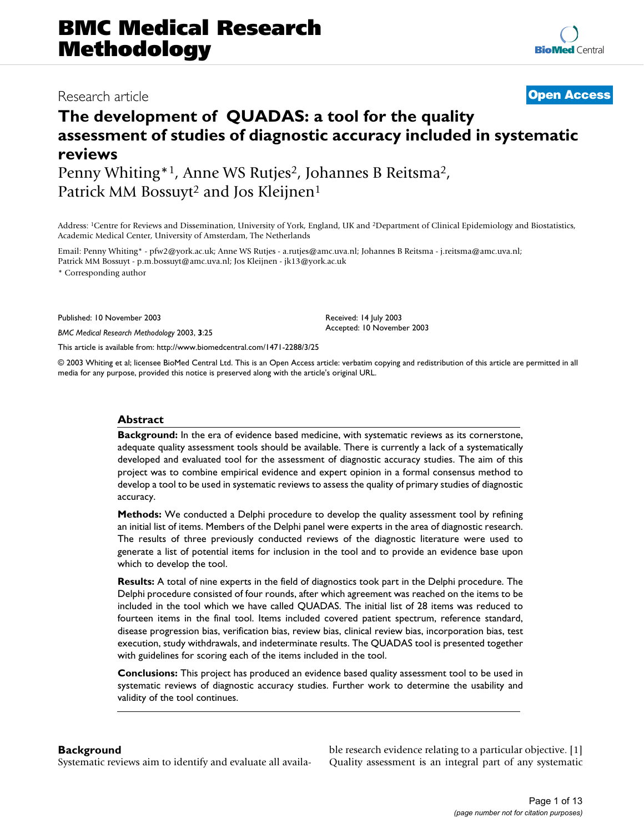# Research article **[Open Access](http://www.biomedcentral.com/info/about/charter/)**

# **The development of QUADAS: a tool for the quality assessment of studies of diagnostic accuracy included in systematic reviews**

Penny Whiting\*1, Anne WS Rutjes<sup>2</sup>, Johannes B Reitsma<sup>2</sup>, Patrick MM Bossuyt<sup>2</sup> and Jos Kleijnen<sup>1</sup>

Address: 1Centre for Reviews and Dissemination, University of York, England, UK and 2Department of Clinical Epidemiology and Biostatistics, Academic Medical Center, University of Amsterdam, The Netherlands

Email: Penny Whiting\* - pfw2@york.ac.uk; Anne WS Rutjes - a.rutjes@amc.uva.nl; Johannes B Reitsma - j.reitsma@amc.uva.nl; Patrick MM Bossuyt - p.m.bossuyt@amc.uva.nl; Jos Kleijnen - jk13@york.ac.uk

\* Corresponding author

Published: 10 November 2003

*BMC Medical Research Methodology* 2003, **3**:25

[This article is available from: http://www.biomedcentral.com/1471-2288/3/25](http://www.biomedcentral.com/1471-2288/3/25)

© 2003 Whiting et al; licensee BioMed Central Ltd. This is an Open Access article: verbatim copying and redistribution of this article are permitted in all media for any purpose, provided this notice is preserved along with the article's original URL.

Received: 14 July 2003 Accepted: 10 November 2003

### **Abstract**

**Background:** In the era of evidence based medicine, with systematic reviews as its cornerstone, adequate quality assessment tools should be available. There is currently a lack of a systematically developed and evaluated tool for the assessment of diagnostic accuracy studies. The aim of this project was to combine empirical evidence and expert opinion in a formal consensus method to develop a tool to be used in systematic reviews to assess the quality of primary studies of diagnostic accuracy.

**Methods:** We conducted a Delphi procedure to develop the quality assessment tool by refining an initial list of items. Members of the Delphi panel were experts in the area of diagnostic research. The results of three previously conducted reviews of the diagnostic literature were used to generate a list of potential items for inclusion in the tool and to provide an evidence base upon which to develop the tool.

**Results:** A total of nine experts in the field of diagnostics took part in the Delphi procedure. The Delphi procedure consisted of four rounds, after which agreement was reached on the items to be included in the tool which we have called QUADAS. The initial list of 28 items was reduced to fourteen items in the final tool. Items included covered patient spectrum, reference standard, disease progression bias, verification bias, review bias, clinical review bias, incorporation bias, test execution, study withdrawals, and indeterminate results. The QUADAS tool is presented together with guidelines for scoring each of the items included in the tool.

**Conclusions:** This project has produced an evidence based quality assessment tool to be used in systematic reviews of diagnostic accuracy studies. Further work to determine the usability and validity of the tool continues.

#### **Background**

Systematic reviews aim to identify and evaluate all availa-

ble research evidence relating to a particular objective. [1] Quality assessment is an integral part of any systematic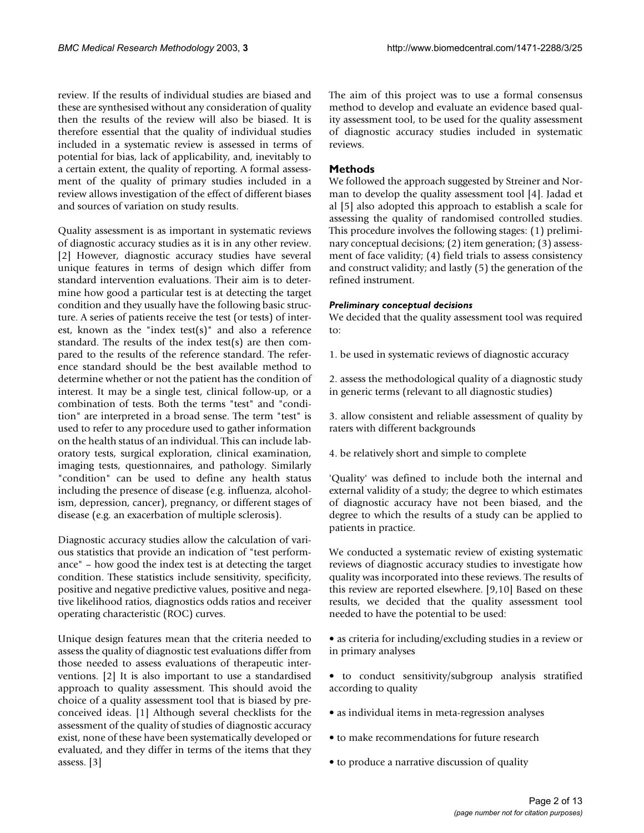review. If the results of individual studies are biased and these are synthesised without any consideration of quality then the results of the review will also be biased. It is therefore essential that the quality of individual studies included in a systematic review is assessed in terms of potential for bias, lack of applicability, and, inevitably to a certain extent, the quality of reporting. A formal assessment of the quality of primary studies included in a review allows investigation of the effect of different biases and sources of variation on study results.

Quality assessment is as important in systematic reviews of diagnostic accuracy studies as it is in any other review. [2] However, diagnostic accuracy studies have several unique features in terms of design which differ from standard intervention evaluations. Their aim is to determine how good a particular test is at detecting the target condition and they usually have the following basic structure. A series of patients receive the test (or tests) of interest, known as the "index test(s)" and also a reference standard. The results of the index test(s) are then compared to the results of the reference standard. The reference standard should be the best available method to determine whether or not the patient has the condition of interest. It may be a single test, clinical follow-up, or a combination of tests. Both the terms "test" and "condition" are interpreted in a broad sense. The term "test" is used to refer to any procedure used to gather information on the health status of an individual. This can include laboratory tests, surgical exploration, clinical examination, imaging tests, questionnaires, and pathology. Similarly "condition" can be used to define any health status including the presence of disease (e.g. influenza, alcoholism, depression, cancer), pregnancy, or different stages of disease (e.g. an exacerbation of multiple sclerosis).

Diagnostic accuracy studies allow the calculation of various statistics that provide an indication of "test performance" – how good the index test is at detecting the target condition. These statistics include sensitivity, specificity, positive and negative predictive values, positive and negative likelihood ratios, diagnostics odds ratios and receiver operating characteristic (ROC) curves.

Unique design features mean that the criteria needed to assess the quality of diagnostic test evaluations differ from those needed to assess evaluations of therapeutic interventions. [2] It is also important to use a standardised approach to quality assessment. This should avoid the choice of a quality assessment tool that is biased by preconceived ideas. [1] Although several checklists for the assessment of the quality of studies of diagnostic accuracy exist, none of these have been systematically developed or evaluated, and they differ in terms of the items that they assess. [3]

The aim of this project was to use a formal consensus method to develop and evaluate an evidence based quality assessment tool, to be used for the quality assessment of diagnostic accuracy studies included in systematic reviews.

# **Methods**

We followed the approach suggested by Streiner and Norman to develop the quality assessment tool [4]. Jadad et al [5] also adopted this approach to establish a scale for assessing the quality of randomised controlled studies. This procedure involves the following stages: (1) preliminary conceptual decisions; (2) item generation; (3) assessment of face validity; (4) field trials to assess consistency and construct validity; and lastly (5) the generation of the refined instrument.

# *Preliminary conceptual decisions*

We decided that the quality assessment tool was required to:

- 1. be used in systematic reviews of diagnostic accuracy
- 2. assess the methodological quality of a diagnostic study in generic terms (relevant to all diagnostic studies)
- 3. allow consistent and reliable assessment of quality by raters with different backgrounds
- 4. be relatively short and simple to complete

'Quality' was defined to include both the internal and external validity of a study; the degree to which estimates of diagnostic accuracy have not been biased, and the degree to which the results of a study can be applied to patients in practice.

We conducted a systematic review of existing systematic reviews of diagnostic accuracy studies to investigate how quality was incorporated into these reviews. The results of this review are reported elsewhere. [9,10] Based on these results, we decided that the quality assessment tool needed to have the potential to be used:

- as criteria for including/excluding studies in a review or in primary analyses
- to conduct sensitivity/subgroup analysis stratified according to quality
- as individual items in meta-regression analyses
- to make recommendations for future research
- to produce a narrative discussion of quality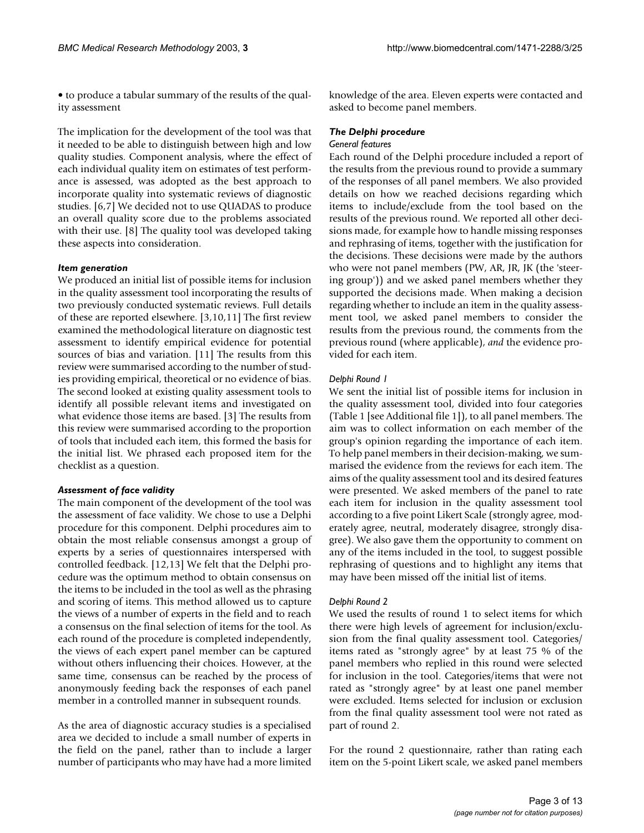• to produce a tabular summary of the results of the quality assessment

The implication for the development of the tool was that it needed to be able to distinguish between high and low quality studies. Component analysis, where the effect of each individual quality item on estimates of test performance is assessed, was adopted as the best approach to incorporate quality into systematic reviews of diagnostic studies. [6,7] We decided not to use QUADAS to produce an overall quality score due to the problems associated with their use. [8] The quality tool was developed taking these aspects into consideration.

# *Item generation*

We produced an initial list of possible items for inclusion in the quality assessment tool incorporating the results of two previously conducted systematic reviews. Full details of these are reported elsewhere. [3,10,11] The first review examined the methodological literature on diagnostic test assessment to identify empirical evidence for potential sources of bias and variation. [11] The results from this review were summarised according to the number of studies providing empirical, theoretical or no evidence of bias. The second looked at existing quality assessment tools to identify all possible relevant items and investigated on what evidence those items are based. [3] The results from this review were summarised according to the proportion of tools that included each item, this formed the basis for the initial list. We phrased each proposed item for the checklist as a question.

# *Assessment of face validity*

The main component of the development of the tool was the assessment of face validity. We chose to use a Delphi procedure for this component. Delphi procedures aim to obtain the most reliable consensus amongst a group of experts by a series of questionnaires interspersed with controlled feedback. [12,13] We felt that the Delphi procedure was the optimum method to obtain consensus on the items to be included in the tool as well as the phrasing and scoring of items. This method allowed us to capture the views of a number of experts in the field and to reach a consensus on the final selection of items for the tool. As each round of the procedure is completed independently, the views of each expert panel member can be captured without others influencing their choices. However, at the same time, consensus can be reached by the process of anonymously feeding back the responses of each panel member in a controlled manner in subsequent rounds.

As the area of diagnostic accuracy studies is a specialised area we decided to include a small number of experts in the field on the panel, rather than to include a larger number of participants who may have had a more limited

knowledge of the area. Eleven experts were contacted and asked to become panel members.

#### *The Delphi procedure General features*

Each round of the Delphi procedure included a report of the results from the previous round to provide a summary of the responses of all panel members. We also provided details on how we reached decisions regarding which items to include/exclude from the tool based on the results of the previous round. We reported all other decisions made, for example how to handle missing responses and rephrasing of items, together with the justification for the decisions. These decisions were made by the authors who were not panel members (PW, AR, JR, JK (the 'steering group')) and we asked panel members whether they supported the decisions made. When making a decision regarding whether to include an item in the quality assessment tool, we asked panel members to consider the results from the previous round, the comments from the previous round (where applicable), *and* the evidence provided for each item.

# *Delphi Round 1*

We sent the initial list of possible items for inclusion in the quality assessment tool, divided into four categories (Table 1 [see Additional file 1]), to all panel members. The aim was to collect information on each member of the group's opinion regarding the importance of each item. To help panel members in their decision-making, we summarised the evidence from the reviews for each item. The aims of the quality assessment tool and its desired features were presented. We asked members of the panel to rate each item for inclusion in the quality assessment tool according to a five point Likert Scale (strongly agree, moderately agree, neutral, moderately disagree, strongly disagree). We also gave them the opportunity to comment on any of the items included in the tool, to suggest possible rephrasing of questions and to highlight any items that may have been missed off the initial list of items.

#### *Delphi Round 2*

We used the results of round 1 to select items for which there were high levels of agreement for inclusion/exclusion from the final quality assessment tool. Categories/ items rated as "strongly agree" by at least 75 % of the panel members who replied in this round were selected for inclusion in the tool. Categories/items that were not rated as "strongly agree" by at least one panel member were excluded. Items selected for inclusion or exclusion from the final quality assessment tool were not rated as part of round 2.

For the round 2 questionnaire, rather than rating each item on the 5-point Likert scale, we asked panel members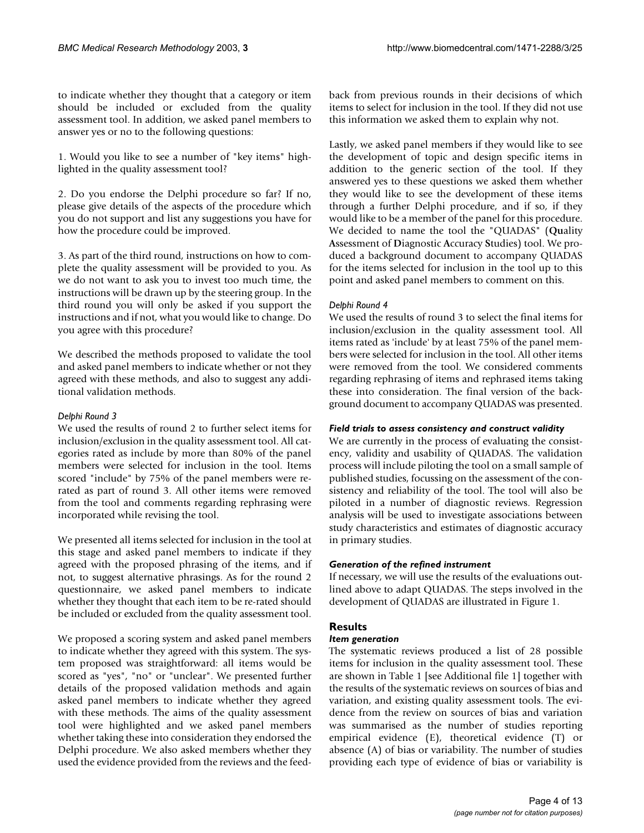to indicate whether they thought that a category or item should be included or excluded from the quality assessment tool. In addition, we asked panel members to answer yes or no to the following questions:

1. Would you like to see a number of "key items" highlighted in the quality assessment tool?

2. Do you endorse the Delphi procedure so far? If no, please give details of the aspects of the procedure which you do not support and list any suggestions you have for how the procedure could be improved.

3. As part of the third round, instructions on how to complete the quality assessment will be provided to you. As we do not want to ask you to invest too much time, the instructions will be drawn up by the steering group. In the third round you will only be asked if you support the instructions and if not, what you would like to change. Do you agree with this procedure?

We described the methods proposed to validate the tool and asked panel members to indicate whether or not they agreed with these methods, and also to suggest any additional validation methods.

# *Delphi Round 3*

We used the results of round 2 to further select items for inclusion/exclusion in the quality assessment tool. All categories rated as include by more than 80% of the panel members were selected for inclusion in the tool. Items scored "include" by 75% of the panel members were rerated as part of round 3. All other items were removed from the tool and comments regarding rephrasing were incorporated while revising the tool.

We presented all items selected for inclusion in the tool at this stage and asked panel members to indicate if they agreed with the proposed phrasing of the items, and if not, to suggest alternative phrasings. As for the round 2 questionnaire, we asked panel members to indicate whether they thought that each item to be re-rated should be included or excluded from the quality assessment tool.

We proposed a scoring system and asked panel members to indicate whether they agreed with this system. The system proposed was straightforward: all items would be scored as "yes", "no" or "unclear". We presented further details of the proposed validation methods and again asked panel members to indicate whether they agreed with these methods. The aims of the quality assessment tool were highlighted and we asked panel members whether taking these into consideration they endorsed the Delphi procedure. We also asked members whether they used the evidence provided from the reviews and the feedback from previous rounds in their decisions of which items to select for inclusion in the tool. If they did not use this information we asked them to explain why not.

Lastly, we asked panel members if they would like to see the development of topic and design specific items in addition to the generic section of the tool. If they answered yes to these questions we asked them whether they would like to see the development of these items through a further Delphi procedure, and if so, if they would like to be a member of the panel for this procedure. We decided to name the tool the "QUADAS" (**Qu**ality **A**ssessment of **D**iagnostic **A**ccuracy **S**tudies) tool. We produced a background document to accompany QUADAS for the items selected for inclusion in the tool up to this point and asked panel members to comment on this.

# *Delphi Round 4*

We used the results of round 3 to select the final items for inclusion/exclusion in the quality assessment tool. All items rated as 'include' by at least 75% of the panel members were selected for inclusion in the tool. All other items were removed from the tool. We considered comments regarding rephrasing of items and rephrased items taking these into consideration. The final version of the background document to accompany QUADAS was presented.

#### *Field trials to assess consistency and construct validity*

We are currently in the process of evaluating the consistency, validity and usability of QUADAS. The validation process will include piloting the tool on a small sample of published studies, focussing on the assessment of the consistency and reliability of the tool. The tool will also be piloted in a number of diagnostic reviews. Regression analysis will be used to investigate associations between study characteristics and estimates of diagnostic accuracy in primary studies.

# *Generation of the refined instrument*

If necessary, we will use the results of the evaluations outlined above to adapt QUADAS. The steps involved in the development of QUADAS are illustrated in Figure [1.](#page-4-0)

# **Results**

# *Item generation*

The systematic reviews produced a list of 28 possible items for inclusion in the quality assessment tool. These are shown in Table 1 [see Additional file 1] together with the results of the systematic reviews on sources of bias and variation, and existing quality assessment tools. The evidence from the review on sources of bias and variation was summarised as the number of studies reporting empirical evidence (E), theoretical evidence (T) or absence (A) of bias or variability. The number of studies providing each type of evidence of bias or variability is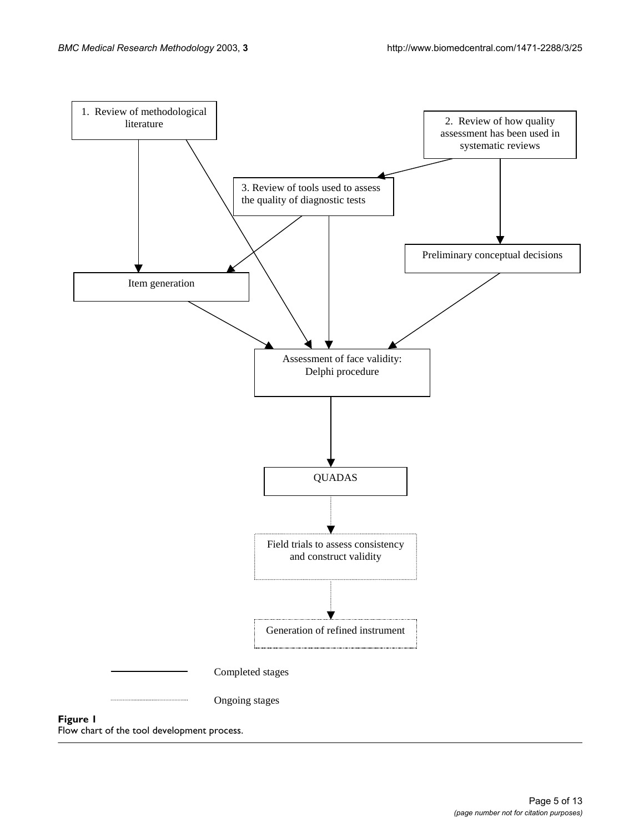<span id="page-4-0"></span>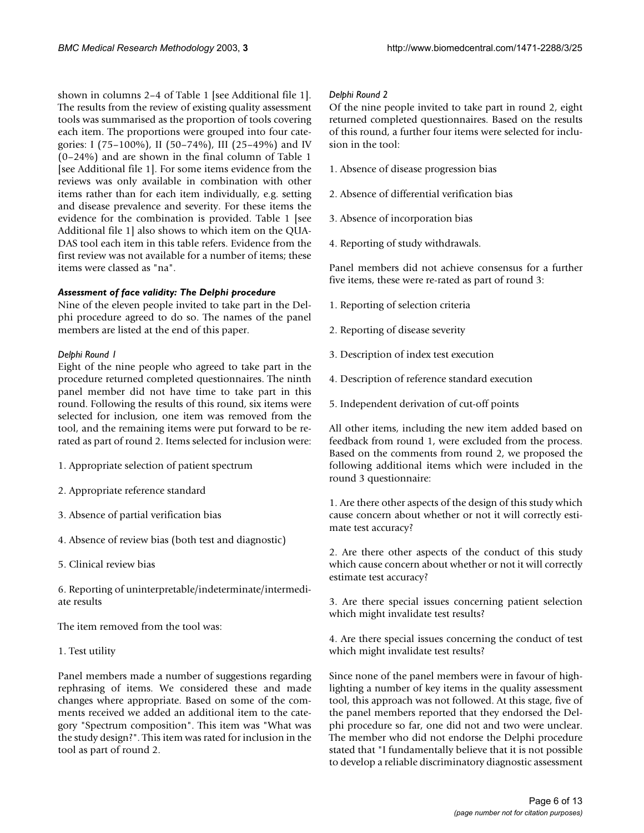shown in columns 2–4 of Table 1 [see Additional file 1]. The results from the review of existing quality assessment tools was summarised as the proportion of tools covering each item. The proportions were grouped into four categories: I (75–100%), II (50–74%), III (25–49%) and IV (0–24%) and are shown in the final column of Table 1 [see Additional file 1]. For some items evidence from the reviews was only available in combination with other items rather than for each item individually, e.g. setting and disease prevalence and severity. For these items the evidence for the combination is provided. Table 1 [see Additional file 1] also shows to which item on the QUA-DAS tool each item in this table refers. Evidence from the first review was not available for a number of items; these items were classed as "na".

# *Assessment of face validity: The Delphi procedure*

Nine of the eleven people invited to take part in the Delphi procedure agreed to do so. The names of the panel members are listed at the end of this paper.

# *Delphi Round 1*

Eight of the nine people who agreed to take part in the procedure returned completed questionnaires. The ninth panel member did not have time to take part in this round. Following the results of this round, six items were selected for inclusion, one item was removed from the tool, and the remaining items were put forward to be rerated as part of round 2. Items selected for inclusion were:

1. Appropriate selection of patient spectrum

- 2. Appropriate reference standard
- 3. Absence of partial verification bias
- 4. Absence of review bias (both test and diagnostic)
- 5. Clinical review bias

6. Reporting of uninterpretable/indeterminate/intermediate results

The item removed from the tool was:

1. Test utility

Panel members made a number of suggestions regarding rephrasing of items. We considered these and made changes where appropriate. Based on some of the comments received we added an additional item to the category "Spectrum composition". This item was "What was the study design?". This item was rated for inclusion in the tool as part of round 2.

# *Delphi Round 2*

Of the nine people invited to take part in round 2, eight returned completed questionnaires. Based on the results of this round, a further four items were selected for inclusion in the tool:

- 1. Absence of disease progression bias
- 2. Absence of differential verification bias
- 3. Absence of incorporation bias
- 4. Reporting of study withdrawals.

Panel members did not achieve consensus for a further five items, these were re-rated as part of round 3:

- 1. Reporting of selection criteria
- 2. Reporting of disease severity
- 3. Description of index test execution
- 4. Description of reference standard execution
- 5. Independent derivation of cut-off points

All other items, including the new item added based on feedback from round 1, were excluded from the process. Based on the comments from round 2, we proposed the following additional items which were included in the round 3 questionnaire:

1. Are there other aspects of the design of this study which cause concern about whether or not it will correctly estimate test accuracy?

2. Are there other aspects of the conduct of this study which cause concern about whether or not it will correctly estimate test accuracy?

3. Are there special issues concerning patient selection which might invalidate test results?

4. Are there special issues concerning the conduct of test which might invalidate test results?

Since none of the panel members were in favour of highlighting a number of key items in the quality assessment tool, this approach was not followed. At this stage, five of the panel members reported that they endorsed the Delphi procedure so far, one did not and two were unclear. The member who did not endorse the Delphi procedure stated that "I fundamentally believe that it is not possible to develop a reliable discriminatory diagnostic assessment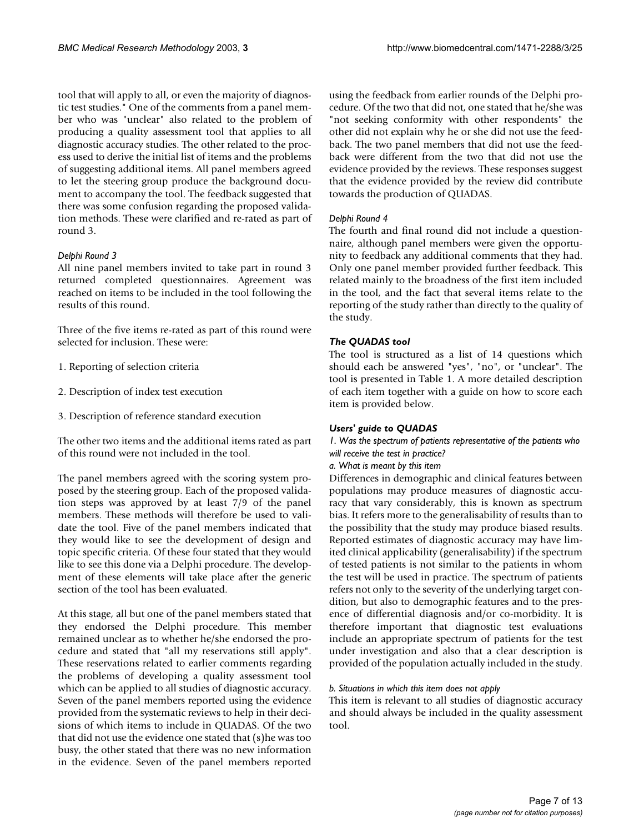tool that will apply to all, or even the majority of diagnostic test studies." One of the comments from a panel member who was "unclear" also related to the problem of producing a quality assessment tool that applies to all diagnostic accuracy studies. The other related to the process used to derive the initial list of items and the problems of suggesting additional items. All panel members agreed to let the steering group produce the background document to accompany the tool. The feedback suggested that there was some confusion regarding the proposed validation methods. These were clarified and re-rated as part of round 3.

# *Delphi Round 3*

All nine panel members invited to take part in round 3 returned completed questionnaires. Agreement was reached on items to be included in the tool following the results of this round.

Three of the five items re-rated as part of this round were selected for inclusion. These were:

- 1. Reporting of selection criteria
- 2. Description of index test execution
- 3. Description of reference standard execution

The other two items and the additional items rated as part of this round were not included in the tool.

The panel members agreed with the scoring system proposed by the steering group. Each of the proposed validation steps was approved by at least 7/9 of the panel members. These methods will therefore be used to validate the tool. Five of the panel members indicated that they would like to see the development of design and topic specific criteria. Of these four stated that they would like to see this done via a Delphi procedure. The development of these elements will take place after the generic section of the tool has been evaluated.

At this stage, all but one of the panel members stated that they endorsed the Delphi procedure. This member remained unclear as to whether he/she endorsed the procedure and stated that "all my reservations still apply". These reservations related to earlier comments regarding the problems of developing a quality assessment tool which can be applied to all studies of diagnostic accuracy. Seven of the panel members reported using the evidence provided from the systematic reviews to help in their decisions of which items to include in QUADAS. Of the two that did not use the evidence one stated that (s)he was too busy, the other stated that there was no new information in the evidence. Seven of the panel members reported using the feedback from earlier rounds of the Delphi procedure. Of the two that did not, one stated that he/she was "not seeking conformity with other respondents" the other did not explain why he or she did not use the feedback. The two panel members that did not use the feedback were different from the two that did not use the evidence provided by the reviews. These responses suggest that the evidence provided by the review did contribute towards the production of QUADAS.

#### *Delphi Round 4*

The fourth and final round did not include a questionnaire, although panel members were given the opportunity to feedback any additional comments that they had. Only one panel member provided further feedback. This related mainly to the broadness of the first item included in the tool, and the fact that several items relate to the reporting of the study rather than directly to the quality of the study.

# *The QUADAS tool*

The tool is structured as a list of 14 questions which should each be answered "yes", "no", or "unclear". The tool is presented in Table [1.](#page-7-0) A more detailed description of each item together with a guide on how to score each item is provided below.

# *Users' guide to QUADAS*

*1. Was the spectrum of patients representative of the patients who will receive the test in practice?*

#### *a. What is meant by this item*

Differences in demographic and clinical features between populations may produce measures of diagnostic accuracy that vary considerably, this is known as spectrum bias. It refers more to the generalisability of results than to the possibility that the study may produce biased results. Reported estimates of diagnostic accuracy may have limited clinical applicability (generalisability) if the spectrum of tested patients is not similar to the patients in whom the test will be used in practice. The spectrum of patients refers not only to the severity of the underlying target condition, but also to demographic features and to the presence of differential diagnosis and/or co-morbidity. It is therefore important that diagnostic test evaluations include an appropriate spectrum of patients for the test under investigation and also that a clear description is provided of the population actually included in the study.

#### *b. Situations in which this item does not apply*

This item is relevant to all studies of diagnostic accuracy and should always be included in the quality assessment tool.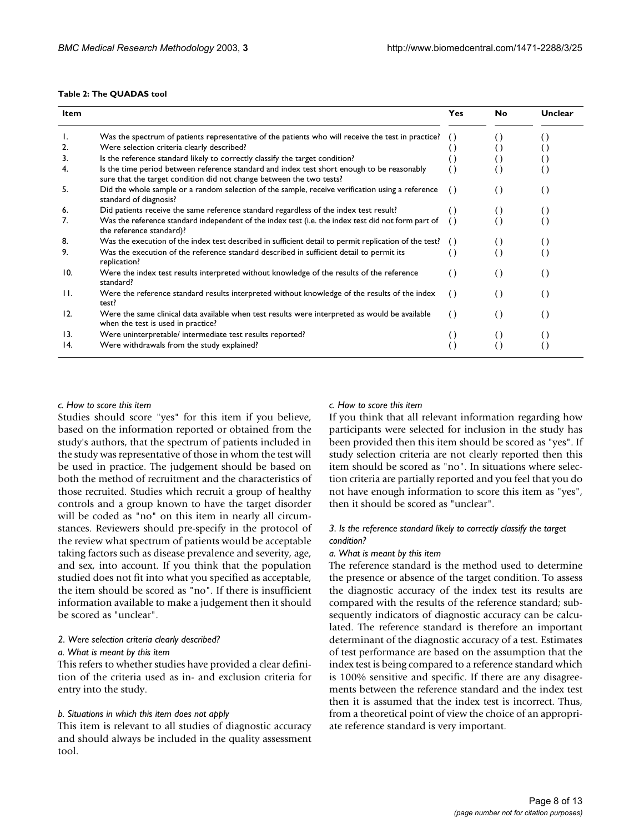#### <span id="page-7-0"></span>**Table 2: The QUADAS tool**

| Item             |                                                                                                                                                                    | Yes                | <b>No</b>        | Unclear |
|------------------|--------------------------------------------------------------------------------------------------------------------------------------------------------------------|--------------------|------------------|---------|
| ι.               | Was the spectrum of patients representative of the patients who will receive the test in practice?                                                                 | $\left( \right)$   |                  |         |
| $\overline{2}$ . | Were selection criteria clearly described?                                                                                                                         |                    |                  |         |
| 3.               | Is the reference standard likely to correctly classify the target condition?                                                                                       |                    |                  |         |
| 4.               | Is the time period between reference standard and index test short enough to be reasonably<br>sure that the target condition did not change between the two tests? | $\left( \ \right)$ |                  |         |
| 5.               | Did the whole sample or a random selection of the sample, receive verification using a reference<br>standard of diagnosis?                                         | $\left( \right)$   | ( )              |         |
| 6.               | Did patients receive the same reference standard regardless of the index test result?                                                                              | ( )                | $\left( \right)$ |         |
| 7.               | Was the reference standard independent of the index test (i.e. the index test did not form part of<br>the reference standard)?                                     | $\left( \ \right)$ |                  |         |
| 8.               | Was the execution of the index test described in sufficient detail to permit replication of the test?                                                              | $\left( \right)$   | ()               |         |
| 9.               | Was the execution of the reference standard described in sufficient detail to permit its<br>replication?                                                           | $\left( \ \right)$ | ( )              |         |
| 10.              | Were the index test results interpreted without knowledge of the results of the reference<br>standard?                                                             | $\left( \right)$   | $\left( \right)$ | ( )     |
| П.               | Were the reference standard results interpreted without knowledge of the results of the index<br>test?                                                             | $\left( \right)$   | $\left( \right)$ | ( )     |
| 12.              | Were the same clinical data available when test results were interpreted as would be available<br>when the test is used in practice?                               | $\left( \right)$   | $\left( \right)$ | ( )     |
| 13.              | Were uninterpretable/ intermediate test results reported?                                                                                                          | ( )                |                  |         |
| 14.              | Were withdrawals from the study explained?                                                                                                                         |                    |                  |         |

#### *c. How to score this item*

Studies should score "yes" for this item if you believe, based on the information reported or obtained from the study's authors, that the spectrum of patients included in the study was representative of those in whom the test will be used in practice. The judgement should be based on both the method of recruitment and the characteristics of those recruited. Studies which recruit a group of healthy controls and a group known to have the target disorder will be coded as "no" on this item in nearly all circumstances. Reviewers should pre-specify in the protocol of the review what spectrum of patients would be acceptable taking factors such as disease prevalence and severity, age, and sex, into account. If you think that the population studied does not fit into what you specified as acceptable, the item should be scored as "no". If there is insufficient information available to make a judgement then it should be scored as "unclear".

# *2. Were selection criteria clearly described?*

#### *a. What is meant by this item*

This refers to whether studies have provided a clear definition of the criteria used as in- and exclusion criteria for entry into the study.

#### *b. Situations in which this item does not apply*

This item is relevant to all studies of diagnostic accuracy and should always be included in the quality assessment tool.

#### *c. How to score this item*

If you think that all relevant information regarding how participants were selected for inclusion in the study has been provided then this item should be scored as "yes". If study selection criteria are not clearly reported then this item should be scored as "no". In situations where selection criteria are partially reported and you feel that you do not have enough information to score this item as "yes", then it should be scored as "unclear".

### *3. Is the reference standard likely to correctly classify the target condition?*

#### *a. What is meant by this item*

The reference standard is the method used to determine the presence or absence of the target condition. To assess the diagnostic accuracy of the index test its results are compared with the results of the reference standard; subsequently indicators of diagnostic accuracy can be calculated. The reference standard is therefore an important determinant of the diagnostic accuracy of a test. Estimates of test performance are based on the assumption that the index test is being compared to a reference standard which is 100% sensitive and specific. If there are any disagreements between the reference standard and the index test then it is assumed that the index test is incorrect. Thus, from a theoretical point of view the choice of an appropriate reference standard is very important.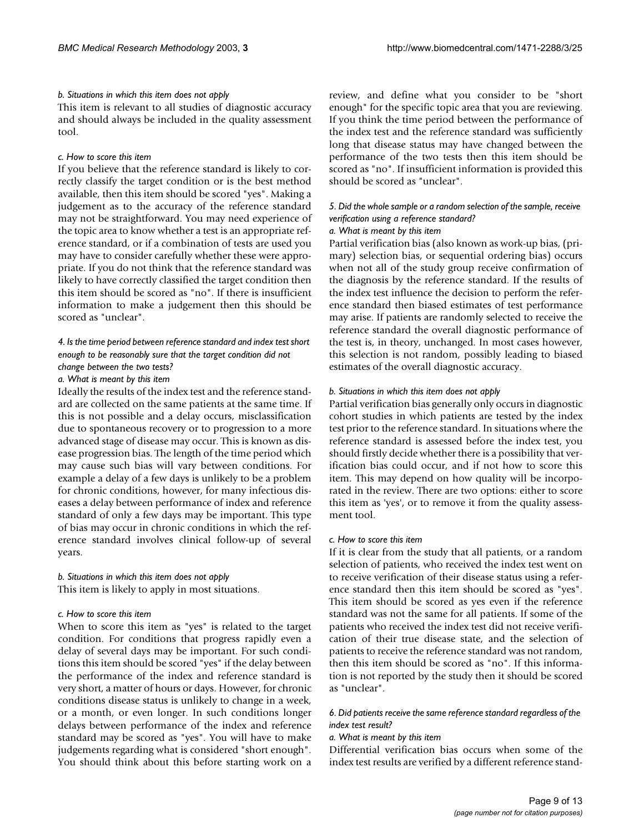#### *b. Situations in which this item does not apply*

This item is relevant to all studies of diagnostic accuracy and should always be included in the quality assessment tool.

#### *c. How to score this item*

If you believe that the reference standard is likely to correctly classify the target condition or is the best method available, then this item should be scored "yes". Making a judgement as to the accuracy of the reference standard may not be straightforward. You may need experience of the topic area to know whether a test is an appropriate reference standard, or if a combination of tests are used you may have to consider carefully whether these were appropriate. If you do not think that the reference standard was likely to have correctly classified the target condition then this item should be scored as "no". If there is insufficient information to make a judgement then this should be scored as "unclear".

#### *4. Is the time period between reference standard and index test short enough to be reasonably sure that the target condition did not change between the two tests?*

#### *a. What is meant by this item*

Ideally the results of the index test and the reference standard are collected on the same patients at the same time. If this is not possible and a delay occurs, misclassification due to spontaneous recovery or to progression to a more advanced stage of disease may occur. This is known as disease progression bias. The length of the time period which may cause such bias will vary between conditions. For example a delay of a few days is unlikely to be a problem for chronic conditions, however, for many infectious diseases a delay between performance of index and reference standard of only a few days may be important. This type of bias may occur in chronic conditions in which the reference standard involves clinical follow-up of several years.

# *b. Situations in which this item does not apply*

This item is likely to apply in most situations.

#### *c. How to score this item*

When to score this item as "yes" is related to the target condition. For conditions that progress rapidly even a delay of several days may be important. For such conditions this item should be scored "yes" if the delay between the performance of the index and reference standard is very short, a matter of hours or days. However, for chronic conditions disease status is unlikely to change in a week, or a month, or even longer. In such conditions longer delays between performance of the index and reference standard may be scored as "yes". You will have to make judgements regarding what is considered "short enough". You should think about this before starting work on a

review, and define what you consider to be "short enough" for the specific topic area that you are reviewing. If you think the time period between the performance of the index test and the reference standard was sufficiently long that disease status may have changed between the performance of the two tests then this item should be scored as "no". If insufficient information is provided this should be scored as "unclear".

# *5. Did the whole sample or a random selection of the sample, receive verification using a reference standard?*

#### *a. What is meant by this item*

Partial verification bias (also known as work-up bias, (primary) selection bias, or sequential ordering bias) occurs when not all of the study group receive confirmation of the diagnosis by the reference standard. If the results of the index test influence the decision to perform the reference standard then biased estimates of test performance may arise. If patients are randomly selected to receive the reference standard the overall diagnostic performance of the test is, in theory, unchanged. In most cases however, this selection is not random, possibly leading to biased estimates of the overall diagnostic accuracy.

#### *b. Situations in which this item does not apply*

Partial verification bias generally only occurs in diagnostic cohort studies in which patients are tested by the index test prior to the reference standard. In situations where the reference standard is assessed before the index test, you should firstly decide whether there is a possibility that verification bias could occur, and if not how to score this item. This may depend on how quality will be incorporated in the review. There are two options: either to score this item as 'yes', or to remove it from the quality assessment tool.

#### *c. How to score this item*

If it is clear from the study that all patients, or a random selection of patients, who received the index test went on to receive verification of their disease status using a reference standard then this item should be scored as "yes". This item should be scored as yes even if the reference standard was not the same for all patients. If some of the patients who received the index test did not receive verification of their true disease state, and the selection of patients to receive the reference standard was not random, then this item should be scored as "no". If this information is not reported by the study then it should be scored as "unclear".

# *6. Did patients receive the same reference standard regardless of the index test result?*

#### *a. What is meant by this item*

Differential verification bias occurs when some of the index test results are verified by a different reference stand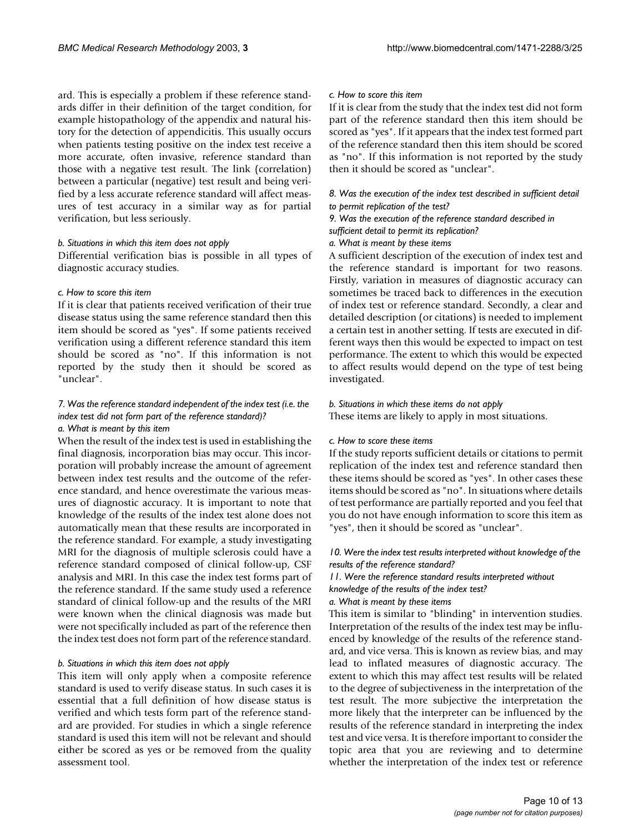ard. This is especially a problem if these reference standards differ in their definition of the target condition, for example histopathology of the appendix and natural history for the detection of appendicitis. This usually occurs when patients testing positive on the index test receive a more accurate, often invasive, reference standard than those with a negative test result. The link (correlation) between a particular (negative) test result and being verified by a less accurate reference standard will affect measures of test accuracy in a similar way as for partial verification, but less seriously.

# *b. Situations in which this item does not apply*

Differential verification bias is possible in all types of diagnostic accuracy studies.

# *c. How to score this item*

If it is clear that patients received verification of their true disease status using the same reference standard then this item should be scored as "yes". If some patients received verification using a different reference standard this item should be scored as "no". If this information is not reported by the study then it should be scored as "unclear".

# *7. Was the reference standard independent of the index test (i.e. the index test did not form part of the reference standard)? a. What is meant by this item*

When the result of the index test is used in establishing the final diagnosis, incorporation bias may occur. This incorporation will probably increase the amount of agreement between index test results and the outcome of the reference standard, and hence overestimate the various measures of diagnostic accuracy. It is important to note that knowledge of the results of the index test alone does not automatically mean that these results are incorporated in the reference standard. For example, a study investigating MRI for the diagnosis of multiple sclerosis could have a reference standard composed of clinical follow-up, CSF analysis and MRI. In this case the index test forms part of the reference standard. If the same study used a reference standard of clinical follow-up and the results of the MRI were known when the clinical diagnosis was made but were not specifically included as part of the reference then the index test does not form part of the reference standard.

#### *b. Situations in which this item does not apply*

This item will only apply when a composite reference standard is used to verify disease status. In such cases it is essential that a full definition of how disease status is verified and which tests form part of the reference standard are provided. For studies in which a single reference standard is used this item will not be relevant and should either be scored as yes or be removed from the quality assessment tool.

# *c. How to score this item*

If it is clear from the study that the index test did not form part of the reference standard then this item should be scored as "yes". If it appears that the index test formed part of the reference standard then this item should be scored as "no". If this information is not reported by the study then it should be scored as "unclear".

### *8. Was the execution of the index test described in sufficient detail to permit replication of the test?*

*9. Was the execution of the reference standard described in sufficient detail to permit its replication?*

*a. What is meant by these items*

A sufficient description of the execution of index test and the reference standard is important for two reasons. Firstly, variation in measures of diagnostic accuracy can sometimes be traced back to differences in the execution of index test or reference standard. Secondly, a clear and detailed description (or citations) is needed to implement a certain test in another setting. If tests are executed in different ways then this would be expected to impact on test performance. The extent to which this would be expected to affect results would depend on the type of test being investigated.

# *b. Situations in which these items do not apply*

These items are likely to apply in most situations.

#### *c. How to score these items*

If the study reports sufficient details or citations to permit replication of the index test and reference standard then these items should be scored as "yes". In other cases these items should be scored as "no". In situations where details of test performance are partially reported and you feel that you do not have enough information to score this item as "yes", then it should be scored as "unclear".

# *10. Were the index test results interpreted without knowledge of the results of the reference standard?*

# *11. Were the reference standard results interpreted without knowledge of the results of the index test?*

*a. What is meant by these items*

This item is similar to "blinding" in intervention studies. Interpretation of the results of the index test may be influenced by knowledge of the results of the reference standard, and vice versa. This is known as review bias, and may lead to inflated measures of diagnostic accuracy. The extent to which this may affect test results will be related to the degree of subjectiveness in the interpretation of the test result. The more subjective the interpretation the more likely that the interpreter can be influenced by the results of the reference standard in interpreting the index test and vice versa. It is therefore important to consider the topic area that you are reviewing and to determine whether the interpretation of the index test or reference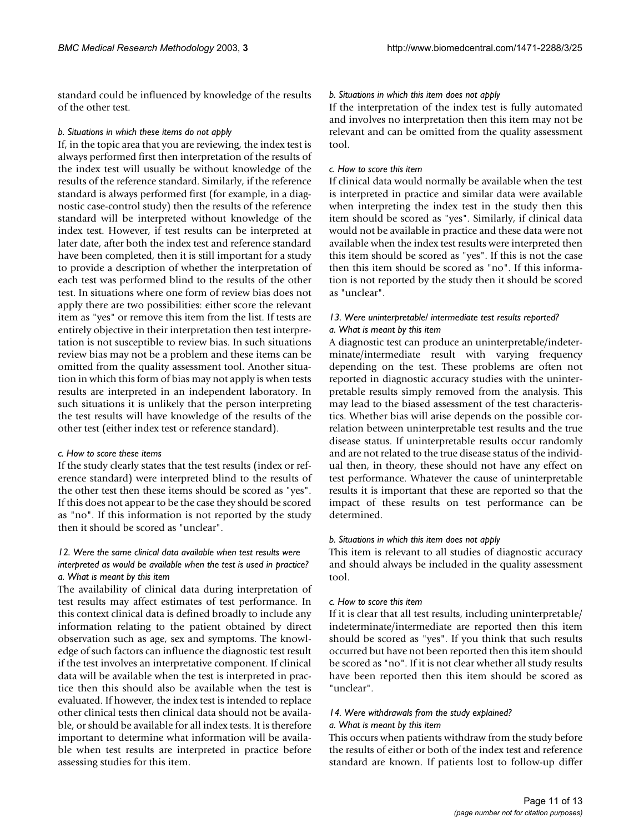standard could be influenced by knowledge of the results of the other test.

# *b. Situations in which these items do not apply*

If, in the topic area that you are reviewing, the index test is always performed first then interpretation of the results of the index test will usually be without knowledge of the results of the reference standard. Similarly, if the reference standard is always performed first (for example, in a diagnostic case-control study) then the results of the reference standard will be interpreted without knowledge of the index test. However, if test results can be interpreted at later date, after both the index test and reference standard have been completed, then it is still important for a study to provide a description of whether the interpretation of each test was performed blind to the results of the other test. In situations where one form of review bias does not apply there are two possibilities: either score the relevant item as "yes" or remove this item from the list. If tests are entirely objective in their interpretation then test interpretation is not susceptible to review bias. In such situations review bias may not be a problem and these items can be omitted from the quality assessment tool. Another situation in which this form of bias may not apply is when tests results are interpreted in an independent laboratory. In such situations it is unlikely that the person interpreting the test results will have knowledge of the results of the other test (either index test or reference standard).

# *c. How to score these items*

If the study clearly states that the test results (index or reference standard) were interpreted blind to the results of the other test then these items should be scored as "yes". If this does not appear to be the case they should be scored as "no". If this information is not reported by the study then it should be scored as "unclear".

# *12. Were the same clinical data available when test results were interpreted as would be available when the test is used in practice? a. What is meant by this item*

The availability of clinical data during interpretation of test results may affect estimates of test performance. In this context clinical data is defined broadly to include any information relating to the patient obtained by direct observation such as age, sex and symptoms. The knowledge of such factors can influence the diagnostic test result if the test involves an interpretative component. If clinical data will be available when the test is interpreted in practice then this should also be available when the test is evaluated. If however, the index test is intended to replace other clinical tests then clinical data should not be available, or should be available for all index tests. It is therefore important to determine what information will be available when test results are interpreted in practice before assessing studies for this item.

# *b. Situations in which this item does not apply*

If the interpretation of the index test is fully automated and involves no interpretation then this item may not be relevant and can be omitted from the quality assessment tool.

# *c. How to score this item*

If clinical data would normally be available when the test is interpreted in practice and similar data were available when interpreting the index test in the study then this item should be scored as "yes". Similarly, if clinical data would not be available in practice and these data were not available when the index test results were interpreted then this item should be scored as "yes". If this is not the case then this item should be scored as "no". If this information is not reported by the study then it should be scored as "unclear".

# *13. Were uninterpretable/ intermediate test results reported? a. What is meant by this item*

A diagnostic test can produce an uninterpretable/indeterminate/intermediate result with varying frequency depending on the test. These problems are often not reported in diagnostic accuracy studies with the uninterpretable results simply removed from the analysis. This may lead to the biased assessment of the test characteristics. Whether bias will arise depends on the possible correlation between uninterpretable test results and the true disease status. If uninterpretable results occur randomly and are not related to the true disease status of the individual then, in theory, these should not have any effect on test performance. Whatever the cause of uninterpretable results it is important that these are reported so that the impact of these results on test performance can be determined.

# *b. Situations in which this item does not apply*

This item is relevant to all studies of diagnostic accuracy and should always be included in the quality assessment tool.

# *c. How to score this item*

If it is clear that all test results, including uninterpretable/ indeterminate/intermediate are reported then this item should be scored as "yes". If you think that such results occurred but have not been reported then this item should be scored as "no". If it is not clear whether all study results have been reported then this item should be scored as "unclear".

#### *14. Were withdrawals from the study explained? a. What is meant by this item*

This occurs when patients withdraw from the study before the results of either or both of the index test and reference standard are known. If patients lost to follow-up differ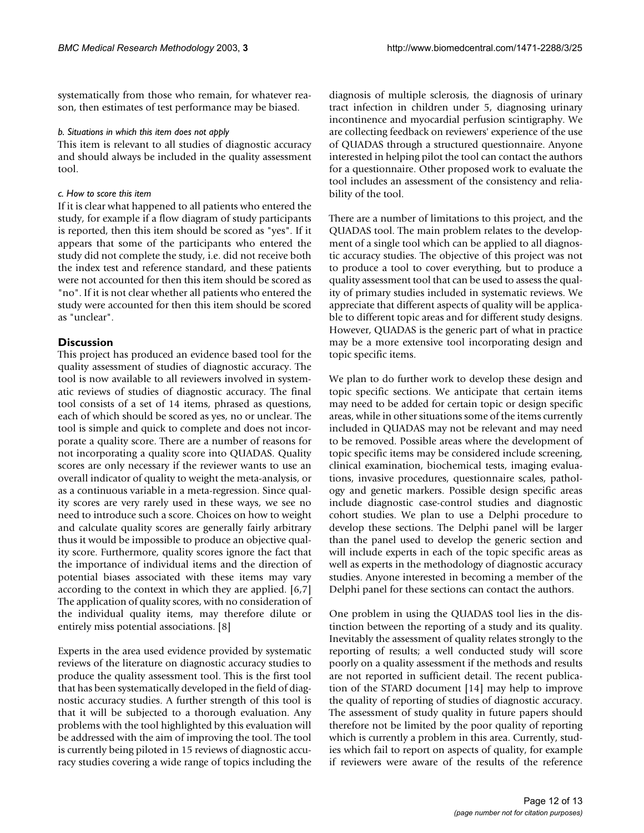systematically from those who remain, for whatever reason, then estimates of test performance may be biased.

# *b. Situations in which this item does not apply*

This item is relevant to all studies of diagnostic accuracy and should always be included in the quality assessment tool.

# *c. How to score this item*

If it is clear what happened to all patients who entered the study, for example if a flow diagram of study participants is reported, then this item should be scored as "yes". If it appears that some of the participants who entered the study did not complete the study, i.e. did not receive both the index test and reference standard, and these patients were not accounted for then this item should be scored as "no". If it is not clear whether all patients who entered the study were accounted for then this item should be scored as "unclear".

# **Discussion**

This project has produced an evidence based tool for the quality assessment of studies of diagnostic accuracy. The tool is now available to all reviewers involved in systematic reviews of studies of diagnostic accuracy. The final tool consists of a set of 14 items, phrased as questions, each of which should be scored as yes, no or unclear. The tool is simple and quick to complete and does not incorporate a quality score. There are a number of reasons for not incorporating a quality score into QUADAS. Quality scores are only necessary if the reviewer wants to use an overall indicator of quality to weight the meta-analysis, or as a continuous variable in a meta-regression. Since quality scores are very rarely used in these ways, we see no need to introduce such a score. Choices on how to weight and calculate quality scores are generally fairly arbitrary thus it would be impossible to produce an objective quality score. Furthermore, quality scores ignore the fact that the importance of individual items and the direction of potential biases associated with these items may vary according to the context in which they are applied. [6,7] The application of quality scores, with no consideration of the individual quality items, may therefore dilute or entirely miss potential associations. [8]

Experts in the area used evidence provided by systematic reviews of the literature on diagnostic accuracy studies to produce the quality assessment tool. This is the first tool that has been systematically developed in the field of diagnostic accuracy studies. A further strength of this tool is that it will be subjected to a thorough evaluation. Any problems with the tool highlighted by this evaluation will be addressed with the aim of improving the tool. The tool is currently being piloted in 15 reviews of diagnostic accuracy studies covering a wide range of topics including the diagnosis of multiple sclerosis, the diagnosis of urinary tract infection in children under 5, diagnosing urinary incontinence and myocardial perfusion scintigraphy. We are collecting feedback on reviewers' experience of the use of QUADAS through a structured questionnaire. Anyone interested in helping pilot the tool can contact the authors for a questionnaire. Other proposed work to evaluate the tool includes an assessment of the consistency and reliability of the tool.

There are a number of limitations to this project, and the QUADAS tool. The main problem relates to the development of a single tool which can be applied to all diagnostic accuracy studies. The objective of this project was not to produce a tool to cover everything, but to produce a quality assessment tool that can be used to assess the quality of primary studies included in systematic reviews. We appreciate that different aspects of quality will be applicable to different topic areas and for different study designs. However, QUADAS is the generic part of what in practice may be a more extensive tool incorporating design and topic specific items.

We plan to do further work to develop these design and topic specific sections. We anticipate that certain items may need to be added for certain topic or design specific areas, while in other situations some of the items currently included in QUADAS may not be relevant and may need to be removed. Possible areas where the development of topic specific items may be considered include screening, clinical examination, biochemical tests, imaging evaluations, invasive procedures, questionnaire scales, pathology and genetic markers. Possible design specific areas include diagnostic case-control studies and diagnostic cohort studies. We plan to use a Delphi procedure to develop these sections. The Delphi panel will be larger than the panel used to develop the generic section and will include experts in each of the topic specific areas as well as experts in the methodology of diagnostic accuracy studies. Anyone interested in becoming a member of the Delphi panel for these sections can contact the authors.

One problem in using the QUADAS tool lies in the distinction between the reporting of a study and its quality. Inevitably the assessment of quality relates strongly to the reporting of results; a well conducted study will score poorly on a quality assessment if the methods and results are not reported in sufficient detail. The recent publication of the STARD document [14] may help to improve the quality of reporting of studies of diagnostic accuracy. The assessment of study quality in future papers should therefore not be limited by the poor quality of reporting which is currently a problem in this area. Currently, studies which fail to report on aspects of quality, for example if reviewers were aware of the results of the reference